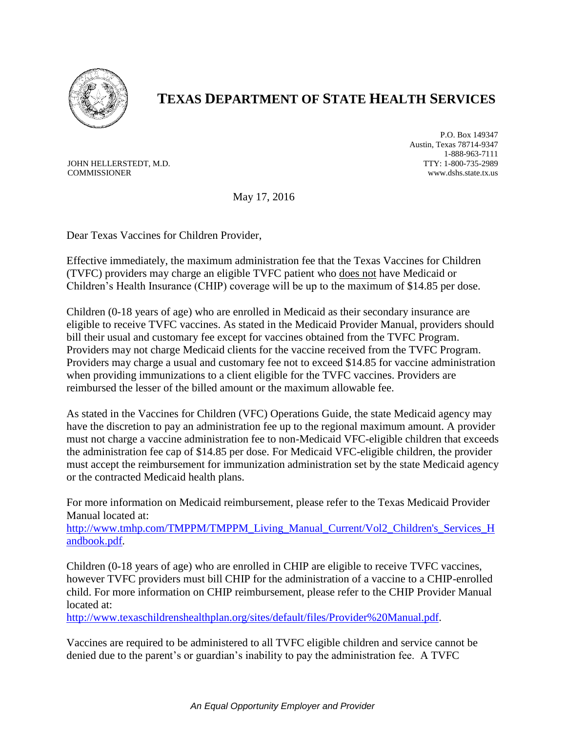

## **TEXAS DEPARTMENT OF STATE HEALTH SERVICES**

JOHN HELLERSTEDT, M.D. COMMISSIONER

P.O. Box 149347 Austin, Texas 78714-9347 1-888-963-7111 TTY: 1-800-735-2989 www.dshs.state.tx.us

May 17, 2016

Dear Texas Vaccines for Children Provider,

Effective immediately, the maximum administration fee that the Texas Vaccines for Children (TVFC) providers may charge an eligible TVFC patient who does not have Medicaid or Children's Health Insurance (CHIP) coverage will be up to the maximum of \$14.85 per dose.

Children (0-18 years of age) who are enrolled in Medicaid as their secondary insurance are eligible to receive TVFC vaccines. As stated in the Medicaid Provider Manual, providers should bill their usual and customary fee except for vaccines obtained from the TVFC Program. Providers may not charge Medicaid clients for the vaccine received from the TVFC Program. Providers may charge a usual and customary fee not to exceed \$14.85 for vaccine administration when providing immunizations to a client eligible for the TVFC vaccines. Providers are reimbursed the lesser of the billed amount or the maximum allowable fee.

As stated in the Vaccines for Children (VFC) Operations Guide, the state Medicaid agency may have the discretion to pay an administration fee up to the regional maximum amount. A provider must not charge a vaccine administration fee to non-Medicaid VFC-eligible children that exceeds the administration fee cap of \$14.85 per dose. For Medicaid VFC-eligible children, the provider must accept the reimbursement for immunization administration set by the state Medicaid agency or the contracted Medicaid health plans.

For more information on Medicaid reimbursement, please refer to the Texas Medicaid Provider Manual located at:

[http://www.tmhp.com/TMPPM/TMPPM\\_Living\\_Manual\\_Current/Vol2\\_Children's\\_Services\\_H](http://www.tmhp.com/TMPPM/TMPPM_Living_Manual_Current/Vol2_Children) [andbook.pdf.](http://www.tmhp.com/TMPPM/TMPPM_Living_Manual_Current/Vol2_Children)

Children (0-18 years of age) who are enrolled in CHIP are eligible to receive TVFC vaccines, however TVFC providers must bill CHIP for the administration of a vaccine to a CHIP-enrolled child. For more information on CHIP reimbursement, please refer to the CHIP Provider Manual located at:

[http://www.texaschildrenshealthplan.org/sites/default/files/Provider%20Manual.pdf.](http://www.texaschildrenshealthplan.org/sites/default/files/Provider%20Manual.pdf)

Vaccines are required to be administered to all TVFC eligible children and service cannot be denied due to the parent's or guardian's inability to pay the administration fee. A TVFC